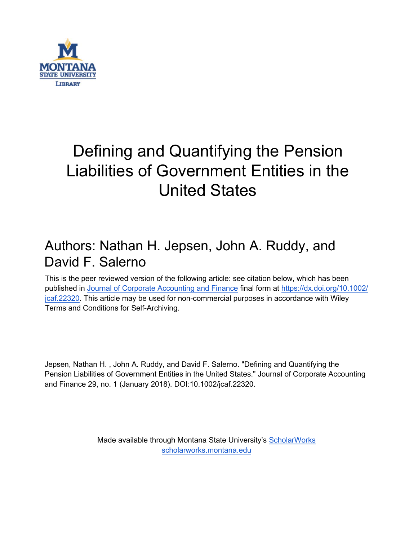

## Defining and Quantifying the Pension Liabilities of Government Entities in the United States

### Authors: Nathan H. Jepsen, John A. Ruddy, and David F. Salerno

This is the peer reviewed version of the following article: see citation below, which has been published in [Journal of Corporate Accounting and Finance](https://onlinelibrary.wiley.com/journal/10970053) final form at [https://dx.doi.org/10.1002/](https://dx.doi.org/10.1002/jcaf.22320) [jcaf.22320](https://dx.doi.org/10.1002/jcaf.22320). This article may be used for non-commercial purposes in accordance with Wiley Terms and Conditions for Self-Archiving.

Jepsen, Nathan H. , John A. Ruddy, and David F. Salerno. "Defining and Quantifying the Pension Liabilities of Government Entities in the United States." Journal of Corporate Accounting and Finance 29, no. 1 (January 2018). DOI:10.1002/jcaf.22320.

> Made available through Montana State University's [ScholarWorks](http://scholarworks.montana.edu/) [scholarworks.montana.edu](http://scholarworks.montana.edu/)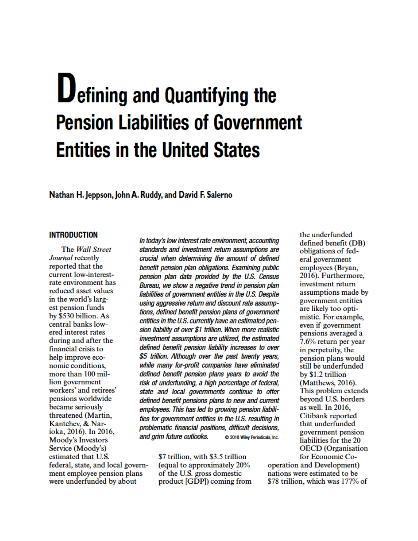# **U**efining and Quantifying the **Pension Liabilities of Government Entities in the United States**

Nathan H. Jeppson, John A. Ruddy, and David F. Salerno

#### **INTRODUCTION**

The Wall Street Journal recently reported that the current low-interestrate environment has reduced asset values in the world's largest pension funds by  $$530$  billion. As central banks lowered interest rates during and after the financial crisis to help improve economic conditions. more than 100 million government workers' and retirees' pensions worldwide became seriously threatened (Martin, Kantchev, & Narioka, 2016). In 2016, Moody's Investors Service (Moody's) estimated that U.S. federal, state, and local government employee pension plans were underfunded by about

In today's low interest rate environment, accounting standards and investment return assumptions are crucial when determining the amount of defined benefit pension plan obligations. Examining public pension plan data provided by the U.S. Census Bureau, we show a negative trend in pension plan liabilities of government entities in the U.S. Despite using aggressive return and discount rate assumptions, defined benefit pension plans of government entities in the U.S. currently have an estimated pension liability of over \$1 trillion. When more realistic investment assumptions are utilized, the estimated defined benefit pension liability increases to over \$5 trillion. Although over the past twenty years, while many for-profit companies have eliminated defined benefit pension plans years to avoid the risk of underfunding, a high percentage of federal, state and local governments continue to offer defined benefit pensions plans to new and current employees. This has led to growing pension liabilities for government entities in the U.S. resulting in problematic financial positions, difficult decisions, and grim future outlooks.  $\qquad \circ$  2018 Wiley Periodicals, Inc.

> \$7 trillion, with \$3.5 trillion (equal to approximately 20% of the U.S. gross domestic product [GDP]) coming from

the underfunded defined benefit (DB) obligations of federal government employees (Bryan,  $2016$ . Furthermore, investment return assumptions made by government entities are likely too optimistic. For example, even if government pensions averaged a 7.6% return per year in perpetuity, the pension plans would still be underfunded by \$1.2 trillion (Matthews, 2016). This problem extends beyond U.S. borders as well. In 2016, Citibank reported that underfunded government pension liabilities for the 20 **OECD** (Organisation

for Economic Cooperation and Development) nations were estimated to be \$78 trillion, which was 177% of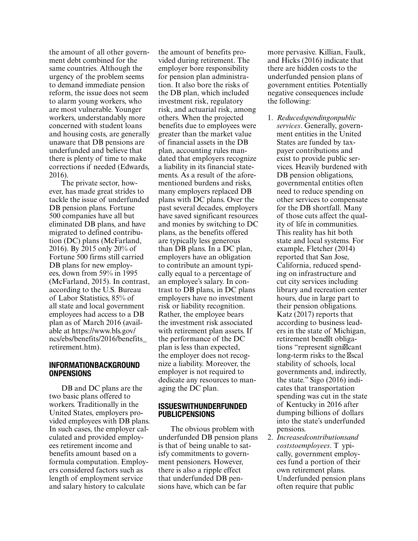the amount of all other government debt combined for the same countries. Although the urgency of the problem seems to demand immediate pension reform, the issue does not seem to alarm young workers, who are most vulnerable. Younger workers, understandably more concerned with student loans and housing costs, are generally unaware that DB pensions are underfunded and believe that there is plenty of time to make corrections if needed (Edwards, 2016).

The private sector, however, has made great strides to tackle the issue of underfunded DB pension plans. Fortune 500 companies have all but eliminated DB plans, and have migrated to defined contribution (DC) plans (McFarland, 2016). By 2015 only 20% of Fortune 500 firms still carried DB plans for new employees, down from 59% in 1995 (McFarland, 2015). In contrast, according to the U.S. Bureau of Labor Statistics, 85% of all state and local government employees had access to a DB plan as of March 2016 (available at [https://www.bls.gov/](https://www.bls.gov/ncs/ebs/benefits/2016/benefits_retirement.htm) [ncs/ebs/benefits/2016/benefits\\_](https://www.bls.gov/ncs/ebs/benefits/2016/benefits_retirement.htm) [retirement.htm\)](https://www.bls.gov/ncs/ebs/benefits/2016/benefits_retirement.htm).

#### **INFORMATION BACKGROUND ONPENSIONS**

DB and DC plans are the two basic plans offered to workers. Traditionally in the United States, employers provided employees with DB plans. In such cases, the employer calculated and provided employees retirement income and benefits amount based on a formula computation. Employers considered factors such as length of employment service and salary history to calculate

the amount of benefits provided during retirement. The employer bore responsibility for pension plan administration. It also bore the risks of the DB plan, which included investment risk, regulatory risk, and actuarial risk, among others. When the projected benefits due to employees were greater than the market value of financial assets in the DB plan, accounting rules mandated that employers recognize a liability in its financial statements. As a result of the aforementioned burdens and risks, many employers replaced DB plans with DC plans. Over the past several decades, employers have saved significant resources and monies by switching to DC plans, as the benefits offered are typically less generous than DB plans. In a DC plan, employers have an obligation to contribute an amount typically equal to a percentage of an employee's salary. In contrast to DB plans, in DC plans employers have no investment risk or liability recognition. Rather, the employee bears the investment risk associated with retirement plan assets. If the performance of the DC plan is less than expected, the employer does not recognize a liability. Moreover, the employer is not required to dedicate any resources to managing the DC plan.

#### **ISSUES WITH UNDER FUNDED PUBLICPENSIONS**

The obvious problem with underfunded DB pension plans is that of being unable to satisfy commitments to government pensioners. However, there is also a ripple effect that underfunded DB pensions have, which can be far

more pervasive. Killian, Faulk, and Hicks (2016) indicate that there are hidden costs to the underfunded pension plans of government entities. Potentially negative consequences include the following:

- 1. *Reduced spending on public services*. Generally, government entities in the United States are funded by taxpayer contributions and exist to provide public services. Heavily burdened with DB pension obligations, governmental entities often need to reduce spending on other services to compensate for the DB shortfall. Many of those cuts affect the quality of life in communities. This reality has hit both state and local systems. For example, Fletcher (2014) reported that San Jose, California, reduced spending on infrastructure and cut city services including library and recreation center hours, due in large part to their pension obligations. Katz (2017) reports that according to business leaders in the state of Michigan, retirement bene t obligations "represent signicant" long-term risks to the scal stability of schools, local governments and, indirectly, the state." Sigo (2016) indicates that transportation spending was cut in the state of Kentucky in 2016 after dumping billions of dollars into the state's underfunded pensions.
- 2. *Increased contributions and costs to employees*. T ypically, government employees fund a portion of their own retirement plans. Underfunded pension plans often require that public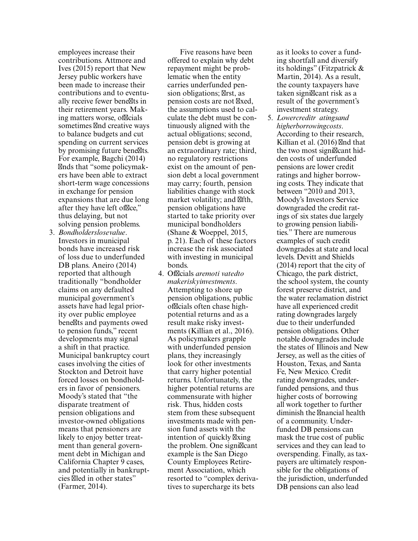employees increase their contributions. Attmore and Ives (2015) report that New Jersey public workers have been made to increase their contributions and to eventually receive fewer bene ts in their retirement years. Making matters worse, of cials sometimes nd creative ways to balance budgets and cut spending on current services by promising future bene ts. For example, Bagchi (2014)

nds that "some policymakers have been able to extract short-term wage concessions in exchange for pension expansions that are due long after they have left of ce," thus delaying, but not solving pension problems.

3. *Bondholders lose value*. Investors in municipal bonds have increased risk of loss due to underfunded DB plans. Aneiro (2014) reported that although traditionally "bondholder claims on any defaulted municipal government's assets have had legal priority over public employee bene ts and payments owed to pension funds," recent developments may signal a shift in that practice. Municipal bankruptcy court cases involving the cities of Stockton and Detroit have forced losses on bondholders in favor of pensioners. Moody's stated that "the disparate treatment of pension obligations and investor-owned obligations means that pensioners are likely to enjoy better treatment than general government debt in Michigan and California Chapter 9 cases, and potentially in bankruptcies led in other states" (Farmer, 2014).

Five reasons have been offered to explain why debt repayment might be problematic when the entity carries underfunded pension obligations; rst, as pension costs are not xed, the assumptions used to calculate the debt must be continuously aligned with the actual obligations; second, pension debt is growing at an extraordinary rate; third, no regulatory restrictions exist on the amount of pension debt a local government may carry; fourth, pension liabilities change with stock market volatility; and fth, pension obligations have started to take priority over municipal bondholders (Shane & Woeppel, 2015, p. 21). Each of these factors increase the risk associated with investing in municipal bonds.

4. Of cials *aremoti* vatedto *make risky investments*. Attempting to shore up pension obligations, public of cials often chase highpotential returns and as a result make risky investments (Killian et al., 2016). As policymakers grapple with underfunded pension plans, they increasingly look for other investments that carry higher potential returns. Unfortunately, the higher potential returns are commensurate with higher risk. Thus, hidden costs stem from these subsequent investments made with pension fund assets with the intention of quickly xing the problem. One signicant example is the San Diego County Employees Retirement Association, which resorted to "complex derivatives to supercharge its bets

as it looks to cover a funding shortfall and diversify its holdings" (Fitzpatrick & Martin, 2014). As a result, the county taxpayers have taken signi cant risk as a result of the government's investment strategy.

5. *Lower credit r atings and higher borrowing costs*. According to their research, Killian et al. (2016) nd that the two most signicant hidden costs of underfunded pensions are lower credit ratings and higher borrowing costs. They indicate that between "2010 and 2013, Moody's Investors Service downgraded the credit ratings of six states due largely to growing pension liabilities." There are numerous examples of such credit downgrades at state and local levels. Devitt and Shields (2014) report that the city of Chicago, the park district, the school system, the county forest preserve district, and the water reclamation district have all experienced credit rating downgrades largely due to their underfunded pension obligations. Other notable downgrades include the states of Illinois and New Jersey, as well as the cities of Houston, Texas, and Santa Fe, New Mexico. Credit rating downgrades, underfunded pensions, and thus higher costs of borrowing all work together to further diminish the nancial health of a community. Underfunded DB pensions can mask the true cost of public services and they can lead to overspending. Finally, as taxpayers are ultimately responsible for the obligations of the jurisdiction, underfunded DB pensions can also lead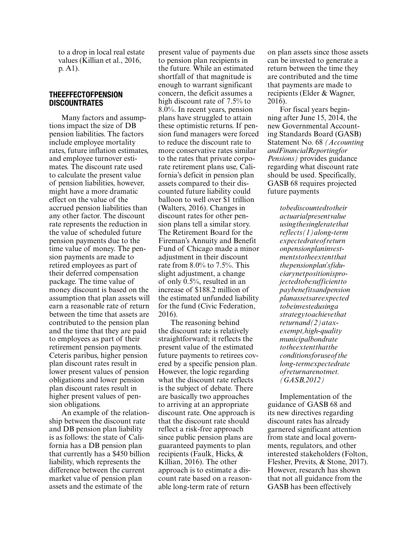to a drop in local real estate values (Killian et al., 2016, p. A1).

#### **THEEFFECTOFPENSION DISCOUNTRATES**

Many factors and assumptions impact the size of DB pension liabilities. The factors include employee mortality rates, future inflation estimates, and employee turnover estimates. The discount rate used to calculate the present value of pension liabilities, however, might have a more dramatic effect on the value of the accrued pension liabilities than any other factor. The discount rate represents the reduction in the value of scheduled future pension payments due to the time value of money. The pension payments are made to retired employees as part of their deferred compensation package. The time value of money discount is based on the assumption that plan assets will earn a reasonable rate of return between the time that assets are contributed to the pension plan and the time that they are paid to employees as part of their retirement pension payments. Ceteris paribus, higher pension plan discount rates result in lower present values of pension obligations and lower pension plan discount rates result in higher present values of pension obligations.

An example of the relationship between the discount rate and DB pension plan liability is as follows: the state of California has a DB pension plan that currently has a \$450 billion liability, which represents the difference between the current market value of pension plan assets and the estimate of the

present value of payments due to pension plan recipients in the future. While an estimated shortfall of that magnitude is enough to warrant significant concern, the deficit assumes a high discount rate of 7.5% to 8.0%. In recent years, pension plans have struggled to attain these optimistic returns. If pension fund managers were forced to reduce the discount rate to more conservative rates similar to the rates that private corporate retirement plans use, California's deficit in pension plan assets compared to their discounted future liability could balloon to well over \$1 trillion (Walters, 2016). Changes in discount rates for other pension plans tell a similar story. The Retirement Board for the Fireman's Annuity and Benefit Fund of Chicago made a minor adjustment in their discount rate from 8.0% to 7.5%. This slight adjustment, a change of only 0.5%, resulted in an increase of \$188.2 million of the estimated unfunded liability for the fund (Civic Federation, 2016).

The reasoning behind the discount rate is relatively straightforward; it reflects the present value of the estimated future payments to retirees covered by a specific pension plan. However, the logic regarding what the discount rate reflects is the subject of debate. There are basically two approaches to arriving at an appropriate discount rate. One approach is that the discount rate should reflect a risk-free approach since public pension plans are guaranteed payments to plan recipients (Faulk, Hicks, & Killian, 2016). The other approach is to estimate a discount rate based on a reasonable long-term rate of return

on plan assets since those assets can be invested to generate a return between the time they are contributed and the time that payments are made to recipients (Elder & Wagner, 2016).

For fiscal years beginning after June 15, 2014, the new Governmental Accounting Standards Board (GASB) Statement No. 68 *(Accounting and Financial Reporting for Pensions)* provides guidance regarding what discount rate should be used. Specifically, GASB 68 requires projected future payments

> *to be discounted to their actuarial present value using the single rate that reflects (1) a long-term expected rate of return on pension plan investments to the extent that the pension plan's fiduciary net position is projected to be sufficient to pay benefits and pension plan assets are expected to be invested using a strategy to achieve that return and (2) a taxexempt, high-quality municipal bond rate to the extent that the conditions for use of the long-term expected rate of return are not met. (GASB, 2012)*

Implementation of the guidance of GASB 68 and its new directives regarding discount rates has already garnered significant attention from state and local governments, regulators, and other interested stakeholders (Folton, Flesher, Previts, & Stone, 2017). However, research has shown that not all guidance from the GASB has been effectively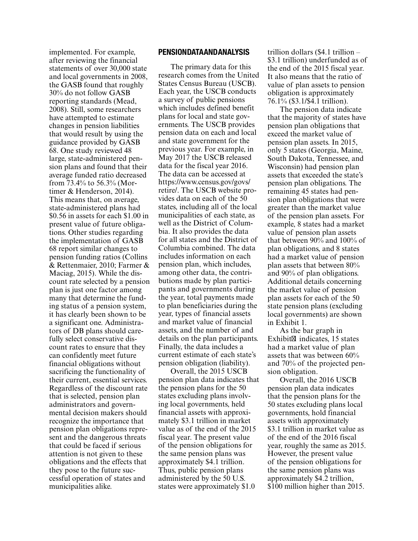implemented. For example, after reviewing the financial statements of over 30,000 state and local governments in 2008, the GASB found that roughly 30% do not follow GASB reporting standards (Mead, 2008). Still, some researchers have attempted to estimate changes in pension liabilities that would result by using the guidance provided by GASB 68. One study reviewed 48 large, state-administered pension plans and found that their average funded ratio decreased from 73.4% to 56.3% (Mortimer & Henderson, 2014). This means that, on average, state-administered plans had \$0.56 in assets for each \$1.00 in present value of future obligations. Other studies regarding the implementation of GASB 68 report similar changes to pension funding ratios (Collins & Rettenmaier, 2010; Farmer & Maciag, 2015). While the discount rate selected by a pension plan is just one factor among many that determine the funding status of a pension system, it has clearly been shown to be a significant one. Administrators of DB plans should carefully select conservative discount rates to ensure that they can confidently meet future financial obligations without sacrificing the functionality of their current, essential services. Regardless of the discount rate that is selected, pension plan administrators and governmental decision makers should recognize the importance that pension plan obligations represent and the dangerous threats that could be faced if serious attention is not given to these obligations and the effects that they pose to the future successful operation of states and municipalities alike.

#### **PENSION DATA AND ANALYSIS**

The primary data for this research comes from the United States Census Bureau (USCB). Each year, the USCB conducts a survey of public pensions which includes defined benefit plans for local and state governments. The USCB provides pension data on each and local and state government for the previous year. For example, in May 2017 the USCB released data for the fiscal year 2016. The data can be accessed at [https://www.census.gov/govs/](https://www.census.gov/govs/retire/) [retire/.](https://www.census.gov/govs/retire/) The USCB website provides data on each of the 50 states, including all of the local municipalities of each state, as well as the District of Columbia. It also provides the data for all states and the District of Columbia combined. The data includes information on each pension plan, which includes, among other data, the contributions made by plan participants and governments during the year, total payments made to plan beneficiaries during the year, types of financial assets and market value of financial assets, and the number of and details on the plan participants. Finally, the data includes a current estimate of each state's pension obligation (liability).

Overall, the 2015 USCB pension plan data indicates that the pension plans for the 50 states excluding plans involving local governments, held financial assets with approximately \$3.1 trillion in market value as of the end of the 2015 fiscal year. The present value of the pension obligations for the same pension plans was approximately \$4.1 trillion. Thus, public pension plans administered by the 50 U.S. states were approximately \$1.0

trillion dollars (\$4.1 trillion – \$3.1 trillion) underfunded as of the end of the 2015 fiscal year. It also means that the ratio of value of plan assets to pension obligation is approximately 76.1% (\$3.1/\$4.1 trillion).

The pension data indicate that the majority of states have pension plan obligations that exceed the market value of pension plan assets. In 2015, only 5 states (Georgia, Maine, South Dakota, Tennessee, and Wisconsin) had pension plan assets that exceeded the state's pension plan obligations. The remaining 45 states had pension plan obligations that were greater than the market value of the pension plan assets. For example, 8 states had a market value of pension plan assets that between 90% and 100% of plan obligations, and 8 states had a market value of pension plan assets that between 80% and 90% of plan obligations. Additional details concerning the market value of pension plan assets for each of the 50 state pension plans (excluding local governments) are shown in Exhibit 1.

As the bar graph in Exhibit 1 indicates, 15 states had a market value of plan assets that was between 60% and 70% of the projected pension obligation.

Overall, the 2016 USCB pension plan data indicates that the pension plans for the 50 states excluding plans local governments, hold financial assets with approximately \$3.1 trillion in market value as of the end of the 2016 fiscal year, roughly the same as 2015. However, the present value of the pension obligations for the same pension plans was approximately \$4.2 trillion, \$100 million higher than 2015.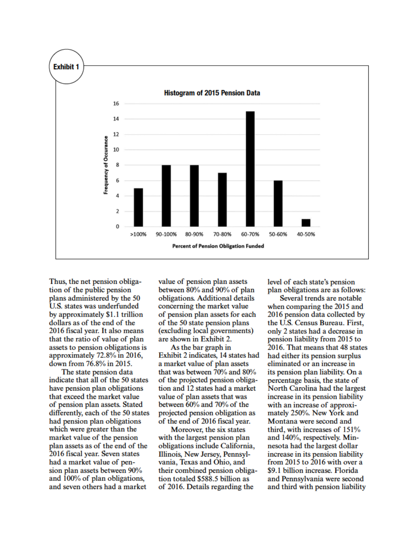

Thus, the net pension obligation of the public pension plans administered by the 50 U.S. states was underfunded by approximately \$1.1 trillion dollars as of the end of the 2016 fiscal year. It also means that the ratio of value of plan assets to pension obligations is approximately  $72.8\%$  in  $2016$ , down from 76.8% in 2015.

The state pension data indicate that all of the 50 states have pension plan obligations that exceed the market value of pension plan assets. Stated differently, each of the 50 states had pension plan obligations which were greater than the market value of the pension plan assets as of the end of the 2016 fiscal year. Seven states had a market value of pension plan assets between 90% and  $100\%$  of plan obligations, and seven others had a market

value of pension plan assets between 80% and 90% of plan obligations. Additional details concerning the market value of pension plan assets for each of the 50 state pension plans (excluding local governments) are shown in Exhibit 2.

As the bar graph in Exhibit 2 indicates, 14 states had a market value of plan assets that was between 70% and 80% of the projected pension obligation and 12 states had a market value of plan assets that was between  $60\%$  and  $70\%$  of the projected pension obligation as of the end of 2016 fiscal year.

Moreover, the six states with the largest pension plan obligations include California, Illinois, New Jersey, Pennsylvania, Texas and Ohio, and their combined pension obligation totaled \$588.5 billion as of 2016. Details regarding the

level of each state's pension plan obligations are as follows:

Several trends are notable when comparing the 2015 and 2016 pension data collected by the U.S. Census Bureau. First, only 2 states had a decrease in pension liability from 2015 to 2016. That means that 48 states had either its pension surplus eliminated or an increase in its pension plan liability. On a percentage basis, the state of North Carolina had the largest increase in its pension liability with an increase of approximately 250%. New York and Montana were second and third, with increases of 151% and 140%, respectively. Minnesota had the largest dollar increase in its pension liability from 2015 to  $2016$  with over a \$9.1 billion increase. Florida and Pennsylvania were second and third with pension liability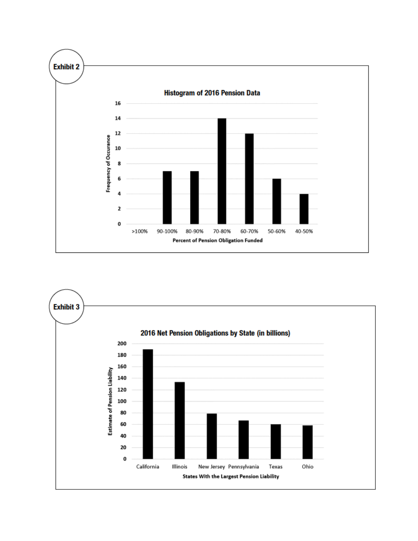

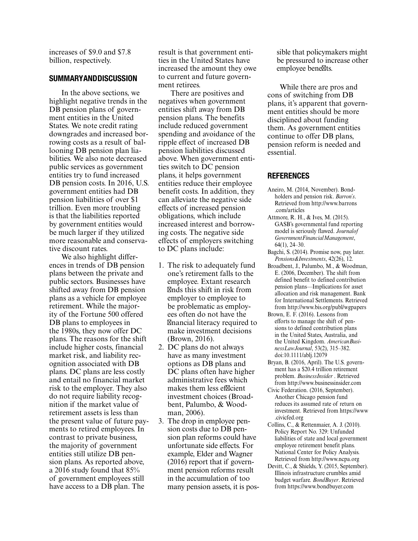increases of \$9.0 and \$7.8 billion, respectively.

#### **SUMMARY AND DISCUSSION**

In the above sections, we highlight negative trends in the DB pension plans of government entities in the United States. We note credit rating downgrades and increased borrowing costs as a result of ballooning DB pension plan liabilities. We also note decreased public services as government entities try to fund increased DB pension costs. In 2016, U.S. government entities had DB pension liabilities of over \$1 trillion. Even more troubling is that the liabilities reported by government entities would be much larger if they utilized more reasonable and conservative discount rates.

We also highlight differences in trends of DB pension plans between the private and public sectors. Businesses have shifted away from DB pension plans as a vehicle for employee retirement. While the majority of the Fortune 500 offered DB plans to employees in the 1980s, they now offer DC plans. The reasons for the shift include higher costs, financial market risk, and liability recognition associated with DB plans. DC plans are less costly and entail no financial market risk to the employer. They also do not require liability recognition if the market value of retirement assets is less than the present value of future payments to retired employees. In contrast to private business, the majority of government entities still utilize DB pension plans. As reported above, a 2016 study found that 85% of government employees still have access to a DB plan. The

result is that government entities in the United States have increased the amount they owe to current and future government retirees.

There are positives and negatives when government entities shift away from DB pension plans. The benefits include reduced government spending and avoidance of the ripple effect of increased DB pension liabilities discussed above. When government entities switch to DC pension plans, it helps government entities reduce their employee benefit costs. In addition, they can alleviate the negative side effects of increased pension obligations, which include increased interest and borrowing costs. The negative side effects of employers switching to DC plans include:

- 1. The risk to adequately fund one's retirement falls to the employee. Extant research nds this shift in risk from employer to employee to be problematic as employees often do not have the nancial literacy required to make investment decisions (Brown, 2016).
- 2. DC plans do not always have as many investment options as DB plans and DC plans often have higher administrative fees which makes them less ef cient investment choices (Broadbent, Palumbo, & Woodman, 2006).
- 3. The drop in employee pension costs due to DB pension plan reforms could have unfortunate side effects. For example, Elder and Wagner (2016) report that if government pension reforms result in the accumulation of too many pension assets, it is pos-

sible that policymakers might be pressured to increase other employee bene ts.

While there are pros and cons of switching from DB plans, it's apparent that government entities should be more disciplined about funding them. As government entities continue to offer DB plans, pension reform is needed and essential.

#### **REFERENCES**

- Aneiro, M. (2014, November). Bondholders and pension risk. *Barron's*. Retrieved from [http://www.barrons](http://www.barrons.com/articles) [.com/articles](http://www.barrons.com/articles)
- Attmore, R. H., & Ives, M. (2015). GASB's governmental fund reporting model is seriously flawed. *Journalof Government Financial Management*, 64(1), 24–30.
- Bagchi, S. (2014). Promise now, pay later. *Pensions & Investments*, 42(26), 12.
- Broadbent, J., Palumbo, M., & Woodman, E. (2006, December). The shift from defined benefit to defined contribution pension plans—Implications for asset allocation and risk management. Bank for International Settlements. Retrieved from<http://www.bis.org/publ/wgpapers>
- Brown, E. F. (2016). Lessons from efforts to manage the shift of pensions to defined contribution plans in the United States, Australia, and the United Kingdom. *American Business Law Journal*, 53(2), 315–382. doi:10.1111/ablj.12079
- Bryan, B. (2016, April). The U.S. government has a \$20.4 trillion retirement problem. *Business Insider* . Retrieved from<http://www.businessinsider.com>
- Civic Federation. (2016, September). Another Chicago pension fund reduces its assumed rate of return on investment. Retrieved from [https://www](https://www.civicfed.org) [.civicfed.org](https://www.civicfed.org)
- Collins, C., & Rettenmaier, A. J. (2010). Policy Report No. 329: Unfunded liabilities of state and local government employee retirement benefit plans. National Center for Policy Analysis. Retrieved from<http://www.ncpa.org>
- Devitt, C., & Shields, Y. (2015, September). Illinois infrastructure crumbles amid budget warfare. *Bond Buyer*. Retrieved from<https://www.bondbuyer.com>